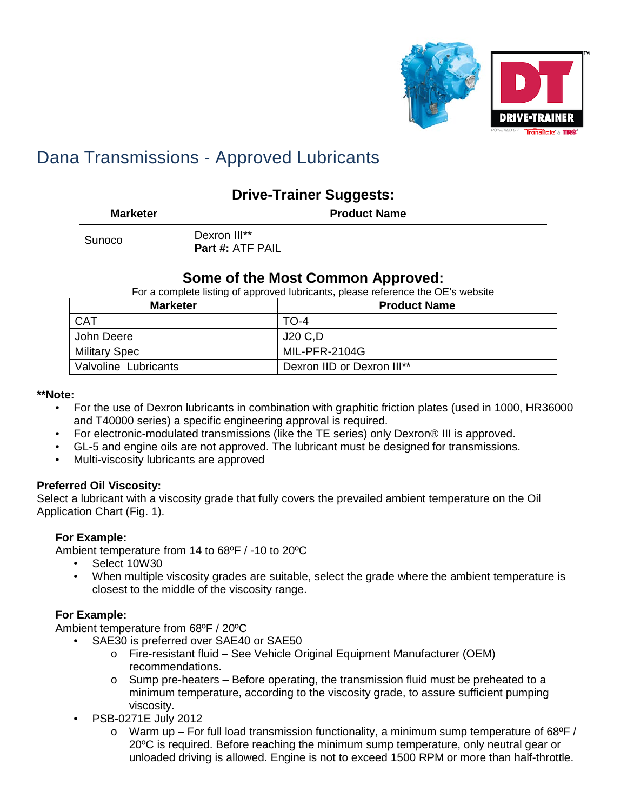

# Dana Transmissions - Approved Lubricants

# **Drive-Trainer Suggests:**

| <b>Marketer</b> | <b>Product Name</b>                     |  |
|-----------------|-----------------------------------------|--|
| Sunoco          | Dexron III**<br><b>Part #: ATF PAIL</b> |  |

## **Some of the Most Common Approved:**

For a complete listing of approved lubricants, please reference the OE's website

| <b>Marketer</b>      | <b>Product Name</b>        |
|----------------------|----------------------------|
| <b>CAT</b>           | TO-4                       |
| John Deere           | J20 C.D                    |
| Military Spec        | MIL-PFR-2104G              |
| Valvoline Lubricants | Dexron IID or Dexron III** |

#### **\*\*Note:**

- For the use of Dexron lubricants in combination with graphitic friction plates (used in 1000, HR36000 and T40000 series) a specific engineering approval is required.
- For electronic-modulated transmissions (like the TE series) only Dexron® III is approved.
- GL-5 and engine oils are not approved. The lubricant must be designed for transmissions.
- Multi-viscosity lubricants are approved

## **Preferred Oil Viscosity:**

Select a lubricant with a viscosity grade that fully covers the prevailed ambient temperature on the Oil Application Chart (Fig. 1).

## **For Example:**

Ambient temperature from 14 to 68ºF / -10 to 20ºC

- Select 10W30
- When multiple viscosity grades are suitable, select the grade where the ambient temperature is closest to the middle of the viscosity range.

## **For Example:**

Ambient temperature from 68ºF / 20ºC

- SAE30 is preferred over SAE40 or SAE50
	- o Fire-resistant fluid See Vehicle Original Equipment Manufacturer (OEM) recommendations.
	- o Sump pre-heaters Before operating, the transmission fluid must be preheated to a minimum temperature, according to the viscosity grade, to assure sufficient pumping viscosity.
- PSB-0271E July 2012
	- $\circ$  Warm up For full load transmission functionality, a minimum sump temperature of 68 $\circ$ F/ 20ºC is required. Before reaching the minimum sump temperature, only neutral gear or unloaded driving is allowed. Engine is not to exceed 1500 RPM or more than half-throttle.